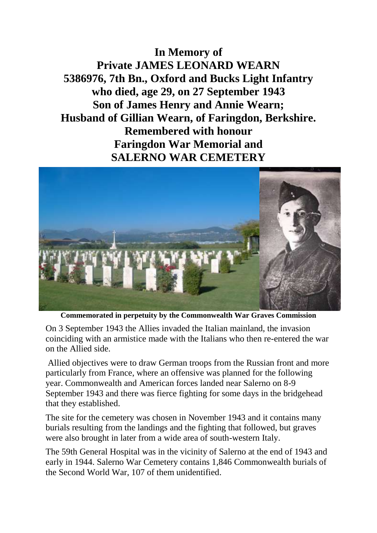**In Memory of Private JAMES LEONARD WEARN 5386976, 7th Bn., Oxford and Bucks Light Infantry who died, age 29, on 27 September 1943 Son of James Henry and Annie Wearn; Husband of Gillian Wearn, of Faringdon, Berkshire. Remembered with honour Faringdon War Memorial and SALERNO WAR CEMETERY**



**Commemorated in perpetuity by the Commonwealth War Graves Commission** 

On 3 September 1943 the Allies invaded the Italian mainland, the invasion coinciding with an armistice made with the Italians who then re-entered the war on the Allied side.

Allied objectives were to draw German troops from the Russian front and more particularly from France, where an offensive was planned for the following year. Commonwealth and American forces landed near Salerno on 8-9 September 1943 and there was fierce fighting for some days in the bridgehead that they established.

The site for the cemetery was chosen in November 1943 and it contains many burials resulting from the landings and the fighting that followed, but graves were also brought in later from a wide area of south-western Italy.

The 59th General Hospital was in the vicinity of Salerno at the end of 1943 and early in 1944. Salerno War Cemetery contains 1,846 Commonwealth burials of the Second World War, 107 of them unidentified.